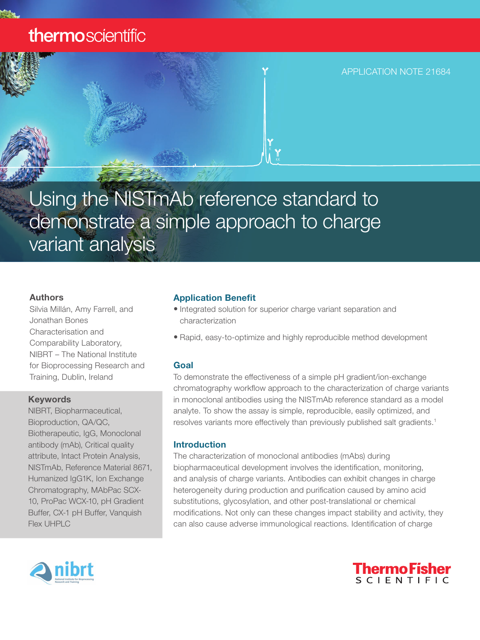## thermoscientific



# Using the NISTmAb reference standard to demonstrate a simple approach to charge variant analysis

#### Authors

Silvia Millán, Amy Farrell, and Jonathan Bones Characterisation and Comparability Laboratory, NIBRT – The National Institute for Bioprocessing Research and Training, Dublin, Ireland

#### Keywords

NIBRT, Biopharmaceutical, Bioproduction, QA/QC, Biotherapeutic, IgG, Monoclonal antibody (mAb), Critical quality attribute, Intact Protein Analysis, NISTmAb, Reference Material 8671, Humanized IgG1K, Ion Exchange Chromatography, MAbPac SCX-10, ProPac WCX-10, pH Gradient Buffer, CX-1 pH Buffer, Vanquish Flex UHPLC

#### Application Benefit

- Integrated solution for superior charge variant separation and characterization
- Rapid, easy-to-optimize and highly reproducible method development

#### Goal

To demonstrate the effectiveness of a simple pH gradient/ion-exchange chromatography workflow approach to the characterization of charge variants in monoclonal antibodies using the NISTmAb reference standard as a model analyte. To show the assay is simple, reproducible, easily optimized, and resolves variants more effectively than previously published salt gradients.<sup>1</sup>

#### Introduction

The characterization of monoclonal antibodies (mAbs) during biopharmaceutical development involves the identification, monitoring, and analysis of charge variants. Antibodies can exhibit changes in charge heterogeneity during production and purification caused by amino acid substitutions, glycosylation, and other post-translational or chemical modifications. Not only can these changes impact stability and activity, they can also cause adverse immunological reactions. Identification of charge



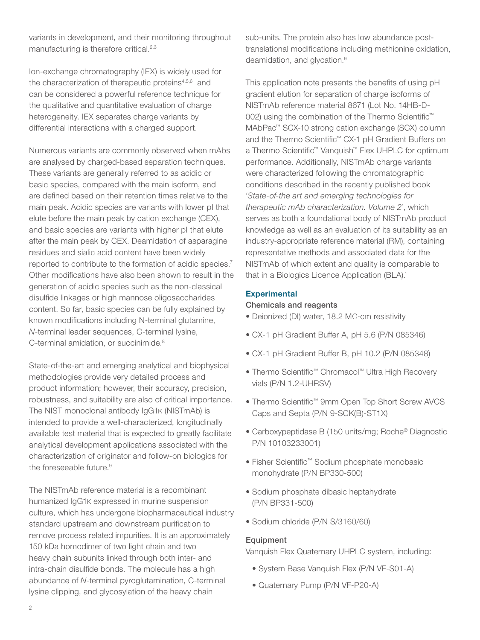variants in development, and their monitoring throughout manufacturing is therefore critical.<sup>2,3</sup>

Ion-exchange chromatography (IEX) is widely used for the characterization of therapeutic proteins<sup>4,5,6</sup> and can be considered a powerful reference technique for the qualitative and quantitative evaluation of charge heterogeneity. IEX separates charge variants by differential interactions with a charged support.

Numerous variants are commonly observed when mAbs are analysed by charged-based separation techniques. These variants are generally referred to as acidic or basic species, compared with the main isoform, and are defined based on their retention times relative to the main peak. Acidic species are variants with lower pI that elute before the main peak by cation exchange (CEX), and basic species are variants with higher pI that elute after the main peak by CEX. Deamidation of asparagine residues and sialic acid content have been widely reported to contribute to the formation of acidic species.<sup>7</sup> Other modifications have also been shown to result in the generation of acidic species such as the non-classical disulfide linkages or high mannose oligosaccharides content. So far, basic species can be fully explained by known modifications including N-terminal glutamine, *N*-terminal leader sequences, C-terminal lysine, C-terminal amidation, or succinimide.<sup>8</sup>

State-of-the-art and emerging analytical and biophysical methodologies provide very detailed process and product information; however, their accuracy, precision, robustness, and suitability are also of critical importance. The NIST monoclonal antibody IgG1K (NISTmAb) is intended to provide a well-characterized, longitudinally available test material that is expected to greatly facilitate analytical development applications associated with the characterization of originator and follow-on biologics for the foreseeable future.<sup>9</sup>

The NISTmAb reference material is a recombinant humanized IgG1K expressed in murine suspension culture, which has undergone biopharmaceutical industry standard upstream and downstream purification to remove process related impurities. It is an approximately 150 kDa homodimer of two light chain and two heavy chain subunits linked through both inter- and intra-chain disulfide bonds. The molecule has a high abundance of *N*-terminal pyroglutamination, C-terminal lysine clipping, and glycosylation of the heavy chain

sub-units. The protein also has low abundance posttranslational modifications including methionine oxidation, deamidation, and glycation.9

This application note presents the benefits of using pH gradient elution for separation of charge isoforms of NISTmAb reference material 8671 (Lot No. 14HB-D-002) using the combination of the Thermo Scientific<sup>™</sup> MAbPac™ SCX-10 strong cation exchange (SCX) column and the Thermo Scientific™ CX-1 pH Gradient Buffers on a Thermo Scientific™ Vanquish™ Flex UHPLC for optimum performance. Additionally, NISTmAb charge variants were characterized following the chromatographic conditions described in the recently published book '*State-of-the art and emerging technologies for therapeutic mAb characterization. Volume 2*', which serves as both a foundational body of NISTmAb product knowledge as well as an evaluation of its suitability as an industry-appropriate reference material (RM), containing representative methods and associated data for the NISTmAb of which extent and quality is comparable to that in a Biologics Licence Application (BLA).<sup>1</sup>

#### **Experimental**

#### Chemicals and reagents

- Deionized (DI) water, 18.2 MΩ∙cm resistivity
- CX-1 pH Gradient Buffer A, pH 5.6 (P/N 085346)
- CX-1 pH Gradient Buffer B, pH 10.2 (P/N 085348)
- Thermo Scientific™ Chromacol™ Ultra High Recovery vials (P/N 1.2-UHRSV)
- Thermo Scientific™ 9mm Open Top Short Screw AVCS Caps and Septa (P/N 9-SCK(B)-ST1X)
- Carboxypeptidase B (150 units/mg; Roche® Diagnostic P/N 10103233001)
- Fisher Scientific™ Sodium phosphate monobasic monohydrate (P/N BP330-500)
- Sodium phosphate dibasic heptahydrate (P/N BP331-500)
- Sodium chloride (P/N S/3160/60)

#### **Equipment**

Vanquish Flex Quaternary UHPLC system, including:

- System Base Vanquish Flex (P/N VF-S01-A)
- Quaternary Pump (P/N VF-P20-A)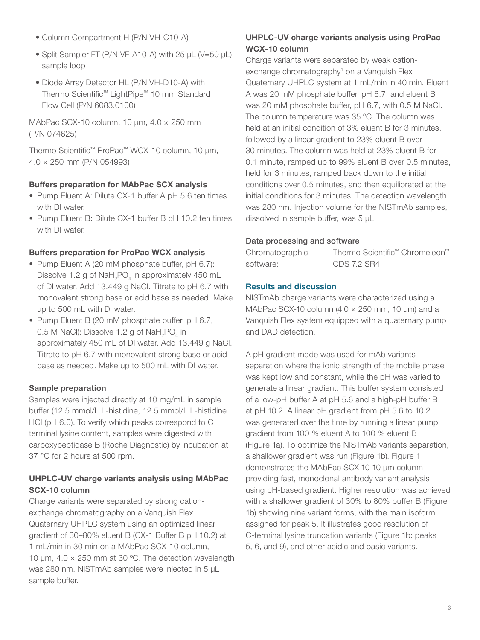- Column Compartment H (P/N VH-C10-A)
- Split Sampler FT (P/N VF-A10-A) with 25 µL (V=50 µL) sample loop
- Diode Array Detector HL (P/N VH-D10-A) with Thermo Scientific™ LightPipe™ 10 mm Standard Flow Cell (P/N 6083.0100)

MAbPac SCX-10 column, 10  $\mu$ m, 4.0  $\times$  250 mm (P/N 074625)

Thermo Scientific™ ProPac™ WCX-10 column, 10 µm, 4.0 × 250 mm (P/N 054993)

#### Buffers preparation for MAbPac SCX analysis

- Pump Eluent A: Dilute CX-1 buffer A pH 5.6 ten times with DI water.
- Pump Eluent B: Dilute CX-1 buffer B pH 10.2 ten times with DI water.

#### Buffers preparation for ProPac WCX analysis

- Pump Eluent A (20 mM phosphate buffer, pH 6.7): Dissolve 1.2 g of  $\textsf{NaH}_{\textsf{2}}\textsf{PO}_{\textsf{4}}$  in approximately 450 mL of DI water. Add 13.449 g NaCl. Titrate to pH 6.7 with monovalent strong base or acid base as needed. Make up to 500 mL with DI water.
- Pump Eluent B (20 mM phosphate buffer, pH 6.7, 0.5 M NaCl): Dissolve 1.2 g of  $\mathsf{NaH}_{_2}\mathsf{PO}_{_4}$  in approximately 450 mL of DI water. Add 13.449 g NaCl. Titrate to pH 6.7 with monovalent strong base or acid base as needed. Make up to 500 mL with DI water.

#### Sample preparation

Samples were injected directly at 10 mg/mL in sample buffer (12.5 mmol/L L-histidine, 12.5 mmol/L L-histidine HCl (pH 6.0). To verify which peaks correspond to C terminal lysine content, samples were digested with carboxypeptidase B (Roche Diagnostic) by incubation at 37 °C for 2 hours at 500 rpm.

#### UHPLC-UV charge variants analysis using MAbPac SCX-10 column

Charge variants were separated by strong cationexchange chromatography on a Vanquish Flex Quaternary UHPLC system using an optimized linear gradient of 30–80% eluent B (CX-1 Buffer B pH 10.2) at 1 mL/min in 30 min on a MAbPac SCX-10 column, 10  $\mu$ m, 4.0  $\times$  250 mm at 30 °C. The detection wavelength was 280 nm. NISTmAb samples were injected in 5 µL sample buffer.

#### UHPLC-UV charge variants analysis using ProPac WCX-10 column

Charge variants were separated by weak cationexchange chromatography<sup>1</sup> on a Vanquish Flex Quaternary UHPLC system at 1 mL/min in 40 min. Eluent A was 20 mM phosphate buffer, pH 6.7, and eluent B was 20 mM phosphate buffer, pH 6.7, with 0.5 M NaCl. The column temperature was 35 ºC. The column was held at an initial condition of 3% eluent B for 3 minutes, followed by a linear gradient to 23% eluent B over 30 minutes. The column was held at 23% eluent B for 0.1 minute, ramped up to 99% eluent B over 0.5 minutes, held for 3 minutes, ramped back down to the initial conditions over 0.5 minutes, and then equilibrated at the initial conditions for 3 minutes. The detection wavelength was 280 nm. Injection volume for the NISTmAb samples, dissolved in sample buffer, was 5 μL.

#### Data processing and software

| Chromatographic | Thermo Scientific <sup>™</sup> Chromeleon <sup>™</sup> |
|-----------------|--------------------------------------------------------|
| software:       | CDS 7.2 SR4                                            |

#### Results and discussion

NISTmAb charge variants were characterized using a MAbPac SCX-10 column  $(4.0 \times 250$  mm, 10 µm) and a Vanquish Flex system equipped with a quaternary pump and DAD detection.

A pH gradient mode was used for mAb variants separation where the ionic strength of the mobile phase was kept low and constant, while the pH was varied to generate a linear gradient. This buffer system consisted of a low-pH buffer A at pH 5.6 and a high-pH buffer B at pH 10.2. A linear pH gradient from pH 5.6 to 10.2 was generated over the time by running a linear pump gradient from 100 % eluent A to 100 % eluent B (Figure 1a). To optimize the NISTmAb variants separation, a shallower gradient was run (Figure 1b). Figure 1 demonstrates the MAbPac SCX-10 10 µm column providing fast, monoclonal antibody variant analysis using pH-based gradient. Higher resolution was achieved with a shallower gradient of 30% to 80% buffer B (Figure 1b) showing nine variant forms, with the main isoform assigned for peak 5. It illustrates good resolution of C-terminal lysine truncation variants (Figure 1b: peaks 5, 6, and 9), and other acidic and basic variants.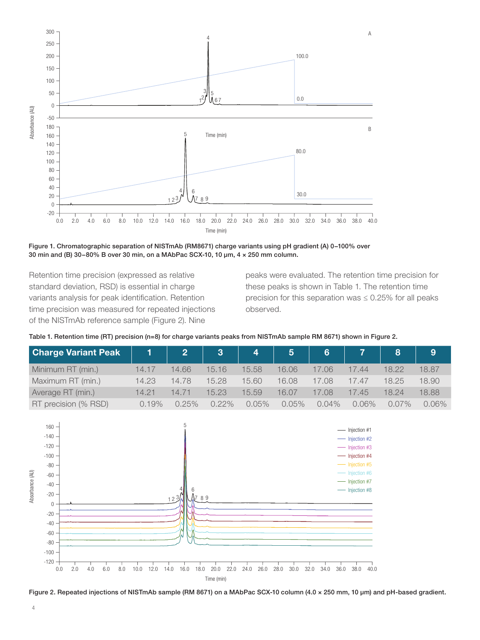

Figure 1. Chromatographic separation of NISTmAb (RM8671) charge variants using pH gradient (A) 0−100% over 30 min and (B) 30−80% B over 30 min, on a MAbPac SCX-10, 10 µm, 4 × 250 mm column.

Retention time precision (expressed as relative standard deviation, RSD) is essential in charge variants analysis for peak identification. Retention time precision was measured for repeated injections of the NISTmAb reference sample (Figure 2). Nine

peaks were evaluated. The retention time precision for these peaks is shown in Table 1. The retention time precision for this separation was  $\leq 0.25\%$  for all peaks observed.

|  | Table 1. Retention time (RT) precision (n=8) for charge variants peaks from NISTmAb sample RM 8671) shown in Figure 2. |  |  |  |  |  |  |  |  |  |  |  |  |  |  |  |  |
|--|------------------------------------------------------------------------------------------------------------------------|--|--|--|--|--|--|--|--|--|--|--|--|--|--|--|--|
|--|------------------------------------------------------------------------------------------------------------------------|--|--|--|--|--|--|--|--|--|--|--|--|--|--|--|--|

| Charge Variant Peak 1 |       |          |       |       |       |          |       |       |       |
|-----------------------|-------|----------|-------|-------|-------|----------|-------|-------|-------|
| Minimum RT (min.)     | 14.17 | 14.66    | 15.16 | 15.58 | 16.06 | '.06     | 44    |       | 18.87 |
| Maximum RT (min.)     | 14.23 | 14.78    | 15.28 | 15.60 | 16.08 | 17.08    | 17 47 | 18 25 | 18.90 |
| Average RT (min.)     | 14.21 | 14.71    | 15.23 | 15.59 | 16.07 | 17.08    | .45   | 18 24 | 18.88 |
| RT precision (% RSD)  | 0.19% | $0.25\%$ | N 22% | 0.05% | 0.05% | $0.04\%$ | 2.06% | በ በ7% | 0.06% |



Figure 2. Repeated injections of NISTmAb sample (RM 8671) on a MAbPac SCX-10 column (4.0 × 250 mm, 10 µm) and pH-based gradient.

4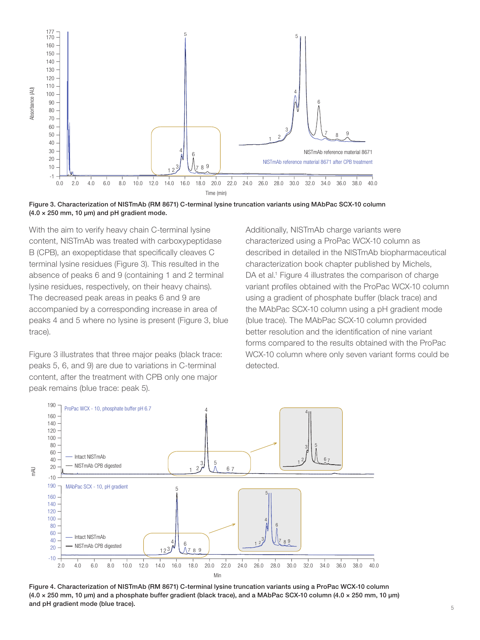

Figure 3. Characterization of NISTmAb (RM 8671) C-terminal lysine truncation variants using MAbPac SCX-10 column  $(4.0 \times 250$  mm, 10 µm) and pH gradient mode.

With the aim to verify heavy chain C-terminal lysine content, NISTmAb was treated with carboxypeptidase B (CPB), an exopeptidase that specifically cleaves C terminal lysine residues (Figure 3). This resulted in the absence of peaks 6 and 9 (containing 1 and 2 terminal lysine residues, respectively, on their heavy chains). The decreased peak areas in peaks 6 and 9 are accompanied by a corresponding increase in area of peaks 4 and 5 where no lysine is present (Figure 3, blue trace).

Figure 3 illustrates that three major peaks (black trace: peaks 5, 6, and 9) are due to variations in C-terminal content, after the treatment with CPB only one major

Additionally, NISTmAb charge variants were characterized using a ProPac WCX-10 column as described in detailed in the NISTmAb biopharmaceutical characterization book chapter published by Michels, DA et al.<sup>1</sup> Figure 4 illustrates the comparison of charge variant profiles obtained with the ProPac WCX-10 column using a gradient of phosphate buffer (black trace) and the MAbPac SCX-10 column using a pH gradient mode (blue trace). The MAbPac SCX-10 column provided better resolution and the identification of nine variant forms compared to the results obtained with the ProPac WCX-10 column where only seven variant forms could be detected.



Figure 4. Characterization of NISTmAb (RM 8671) C-terminal lysine truncation variants using a ProPac WCX-10 column (4.0 × 250 mm, 10 µm) and a phosphate buffer gradient (black trace), and a MAbPac SCX-10 column (4.0 × 250 mm, 10 µm) and pH gradient mode (blue trace).